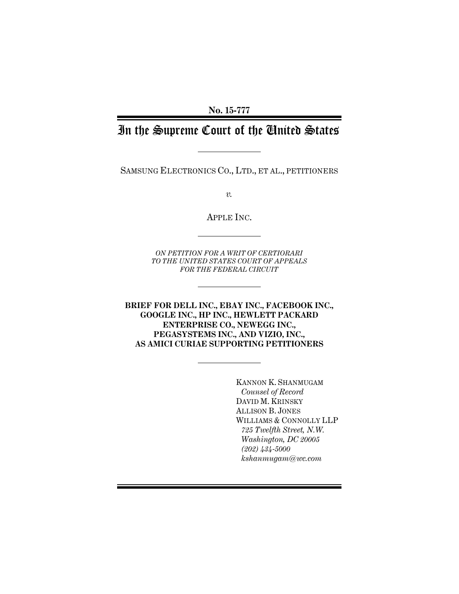**No. 15-777** 

# In the Supreme Court of the United States

SAMSUNG ELECTRONICS CO., LTD., ET AL., PETITIONERS

*v.* 

APPLE INC.

*ON PETITION FOR A WRIT OF CERTIORARI TO THE UNITED STATES COURT OF APPEALS FOR THE FEDERAL CIRCUIT* 

**BRIEF FOR DELL INC., EBAY INC., FACEBOOK INC., GOOGLE INC., HP INC., HEWLETT PACKARD ENTERPRISE CO., NEWEGG INC., PEGASYSTEMS INC., AND VIZIO, INC., AS AMICI CURIAE SUPPORTING PETITIONERS** 

> KANNON K. SHANMUGAM *Counsel of Record*  DAVID M. KRINSKY ALLISON B. JONES WILLIAMS & CONNOLLY LLP *725 Twelfth Street, N.W. Washington, DC 20005 (202) 434-5000 kshanmugam@wc.com*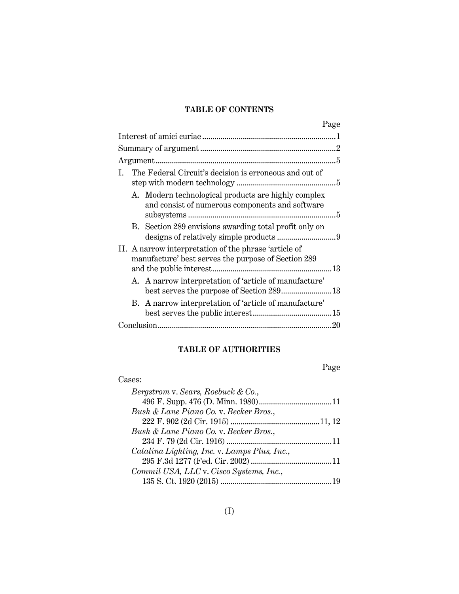# **TABLE OF CONTENTS**

| Page                                                                                                         |
|--------------------------------------------------------------------------------------------------------------|
|                                                                                                              |
|                                                                                                              |
|                                                                                                              |
| The Federal Circuit's decision is erroneous and out of<br>$\mathbf{I}$                                       |
| A. Modern technological products are highly complex<br>and consist of numerous components and software       |
| B. Section 289 envisions awarding total profit only on                                                       |
| II. A narrow interpretation of the phrase 'article of<br>manufacture' best serves the purpose of Section 289 |
| A. A narrow interpretation of 'article of manufacture'                                                       |
| B. A narrow interpretation of 'article of manufacture'                                                       |
|                                                                                                              |

# **TABLE OF AUTHORITIES**

Page

| Cases:                                       |  |
|----------------------------------------------|--|
| Bergstrom v. Sears, Roebuck & Co.,           |  |
|                                              |  |
| Bush & Lane Piano Co. v. Becker Bros.,       |  |
|                                              |  |
| Bush & Lane Piano Co. v. Becker Bros.,       |  |
|                                              |  |
| Catalina Lighting, Inc. v. Lamps Plus, Inc., |  |
|                                              |  |
| Commil USA, LLC v. Cisco Systems, Inc.,      |  |
|                                              |  |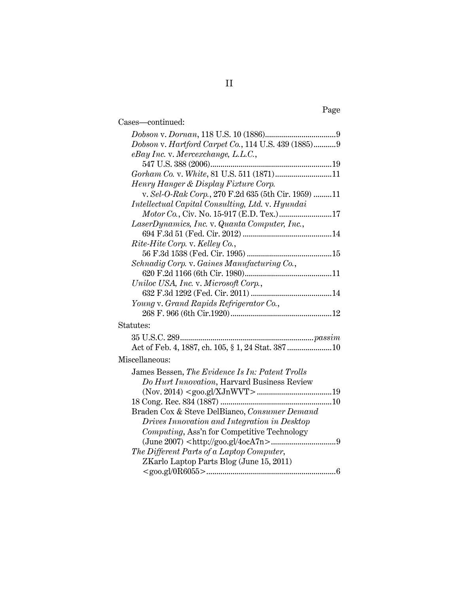| Cases-continued:                                    |
|-----------------------------------------------------|
|                                                     |
| Dobson v. Hartford Carpet Co., 114 U.S. 439 (1885)9 |
| eBay Inc. v. Mercexchange, L.L.C.,                  |
|                                                     |
| Gorham Co. v. White, 81 U.S. 511 (1871)11           |
| Henry Hanger & Display Fixture Corp.                |
| v. Sel-O-Rak Corp., 270 F.2d 635 (5th Cir. 1959) 11 |
| Intellectual Capital Consulting, Ltd. v. Hyundai    |
| Motor Co., Civ. No. 15-917 (E.D. Tex.)17            |
| LaserDynamics, Inc. v. Quanta Computer, Inc.,       |
|                                                     |
| Rite-Hite Corp. v. Kelley Co.,                      |
|                                                     |
| Schnadig Corp. v. Gaines Manufacturing Co.,         |
|                                                     |
| Uniloc USA, Inc. v. Microsoft Corp.,                |
|                                                     |
| Young v. Grand Rapids Refrigerator Co.,             |
|                                                     |
| Statutes:                                           |
|                                                     |
|                                                     |
| Miscellaneous:                                      |
| James Bessen, The Evidence Is In: Patent Trolls     |
| Do Hurt Innovation, Harvard Business Review         |
|                                                     |
|                                                     |
| Braden Cox & Steve DelBianco, Consumer Demand       |
| Drives Innovation and Integration in Desktop        |
| Computing, Ass'n for Competitive Technology         |
| $\rm (June~2007) < http://goo.gl/4ocATn>0$          |
| The Different Parts of a Laptop Computer,           |
| ZKarlo Laptop Parts Blog (June 15, 2011)            |
|                                                     |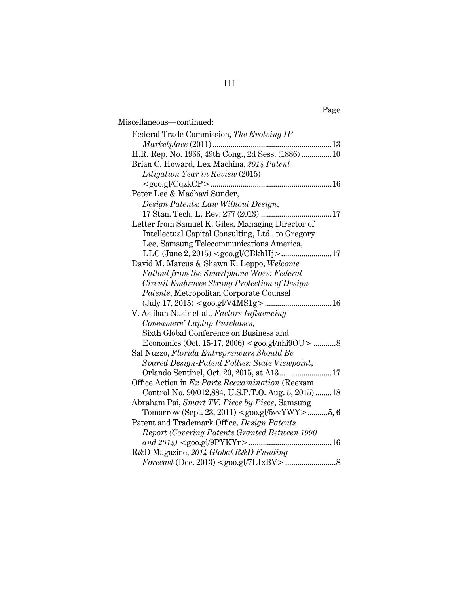# Page

| Miscellaneous-continued:                                                                                    |
|-------------------------------------------------------------------------------------------------------------|
| Federal Trade Commission, The Evolving IP                                                                   |
|                                                                                                             |
| H.R. Rep. No. 1966, 49th Cong., 2d Sess. (1886) 10                                                          |
| Brian C. Howard, Lex Machina, 2014 Patent                                                                   |
| Litigation Year in Review (2015)                                                                            |
|                                                                                                             |
| Peter Lee & Madhavi Sunder,                                                                                 |
| Design Patents: Law Without Design,                                                                         |
| 17 Stan. Tech. L. Rev. 277 (2013)<br>17                                                                     |
| Letter from Samuel K. Giles, Managing Director of                                                           |
| Intellectual Capital Consulting, Ltd., to Gregory                                                           |
| Lee, Samsung Telecommunications America,                                                                    |
|                                                                                                             |
| David M. Marcus & Shawn K. Leppo, Welcome                                                                   |
| Fallout from the Smartphone Wars: Federal                                                                   |
| Circuit Embraces Strong Protection of Design                                                                |
| Patents, Metropolitan Corporate Counsel                                                                     |
|                                                                                                             |
| V. Aslihan Nasir et al., Factors Influencing                                                                |
| Consumers' Laptop Purchases,                                                                                |
| Sixth Global Conference on Business and                                                                     |
| Economics (Oct. 15-17, 2006) <goo.gl nhi9ou=""> 8</goo.gl>                                                  |
| Sal Nuzzo, Florida Entrepreneurs Should Be                                                                  |
| Spared Design-Patent Follies: State Viewpoint,                                                              |
| Orlando Sentinel, Oct. 20, 2015, at A1317                                                                   |
| Office Action in Ex Parte Reexamination (Reexam                                                             |
| Control No. 90/012,884, U.S.P.T.O. Aug. 5, 2015) 18                                                         |
| Abraham Pai, Smart TV: Piece by Piece, Samsung<br>Tomorrow (Sept. 23, 2011) <goo.gl 5vvywy="">5, 6</goo.gl> |
| Patent and Trademark Office, Design Patents                                                                 |
| Report (Covering Patents Granted Between 1990                                                               |
| and 2014) <goo.gl 9pykyr=""><br/>16</goo.gl>                                                                |
| R&D Magazine, 2014 Global R&D Funding                                                                       |
|                                                                                                             |
|                                                                                                             |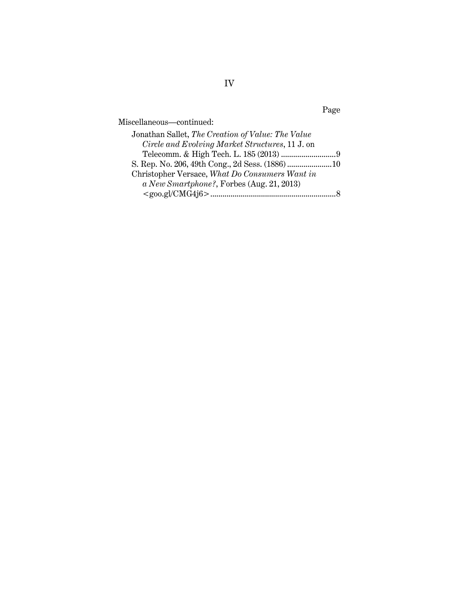Miscellaneous—continued:

| Jonathan Sallet, The Creation of Value: The Value |  |
|---------------------------------------------------|--|
| Circle and Evolving Market Structures, 11 J. on   |  |
|                                                   |  |
|                                                   |  |
| Christopher Versace, What Do Consumers Want in    |  |
| a New Smartphone?, Forbes (Aug. 21, 2013)         |  |
|                                                   |  |

Page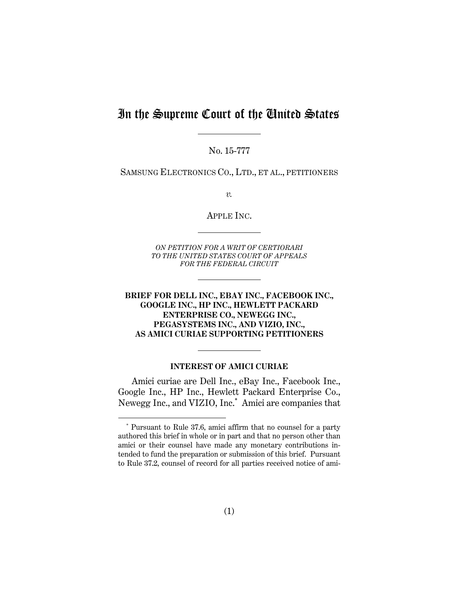# In the Supreme Court of the United States

No. 15-777

SAMSUNG ELECTRONICS CO., LTD., ET AL., PETITIONERS

*v.* 

APPLE INC.

*ON PETITION FOR A WRIT OF CERTIORARI TO THE UNITED STATES COURT OF APPEALS FOR THE FEDERAL CIRCUIT* 

## **BRIEF FOR DELL INC., EBAY INC., FACEBOOK INC., GOOGLE INC., HP INC., HEWLETT PACKARD ENTERPRISE CO., NEWEGG INC., PEGASYSTEMS INC., AND VIZIO, INC., AS AMICI CURIAE SUPPORTING PETITIONERS**

#### **INTEREST OF AMICI CURIAE**

Amici curiae are Dell Inc., eBay Inc., Facebook Inc., Google Inc., HP Inc., Hewlett Packard Enterprise Co., Newegg Inc., and VIZIO, Inc.**\*** Amici are companies that

 <sup>\*</sup> Pursuant to Rule 37.6, amici affirm that no counsel for a party authored this brief in whole or in part and that no person other than amici or their counsel have made any monetary contributions intended to fund the preparation or submission of this brief. Pursuant to Rule 37.2, counsel of record for all parties received notice of ami-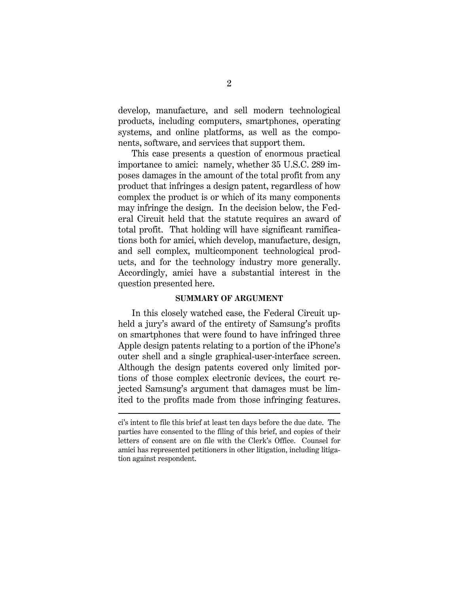develop, manufacture, and sell modern technological products, including computers, smartphones, operating systems, and online platforms, as well as the components, software, and services that support them.

This case presents a question of enormous practical importance to amici: namely, whether 35 U.S.C. 289 imposes damages in the amount of the total profit from any product that infringes a design patent, regardless of how complex the product is or which of its many components may infringe the design. In the decision below, the Federal Circuit held that the statute requires an award of total profit. That holding will have significant ramifications both for amici, which develop, manufacture, design, and sell complex, multicomponent technological products, and for the technology industry more generally. Accordingly, amici have a substantial interest in the question presented here.

#### **SUMMARY OF ARGUMENT**

In this closely watched case, the Federal Circuit upheld a jury's award of the entirety of Samsung's profits on smartphones that were found to have infringed three Apple design patents relating to a portion of the iPhone's outer shell and a single graphical-user-interface screen. Although the design patents covered only limited portions of those complex electronic devices, the court rejected Samsung's argument that damages must be limited to the profits made from those infringing features.

 $\overline{a}$ 

ci's intent to file this brief at least ten days before the due date. The parties have consented to the filing of this brief, and copies of their letters of consent are on file with the Clerk's Office. Counsel for amici has represented petitioners in other litigation, including litigation against respondent.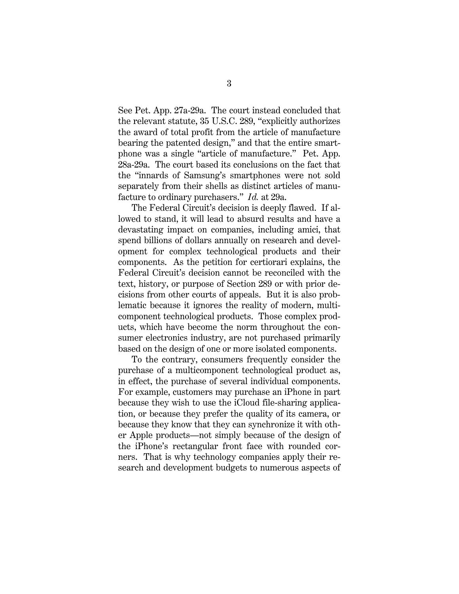See Pet. App. 27a-29a. The court instead concluded that the relevant statute, 35 U.S.C. 289, "explicitly authorizes the award of total profit from the article of manufacture bearing the patented design," and that the entire smartphone was a single "article of manufacture." Pet. App. 28a-29a. The court based its conclusions on the fact that the "innards of Samsung's smartphones were not sold separately from their shells as distinct articles of manufacture to ordinary purchasers." *Id.* at 29a.

The Federal Circuit's decision is deeply flawed. If allowed to stand, it will lead to absurd results and have a devastating impact on companies, including amici, that spend billions of dollars annually on research and development for complex technological products and their components. As the petition for certiorari explains, the Federal Circuit's decision cannot be reconciled with the text, history, or purpose of Section 289 or with prior decisions from other courts of appeals. But it is also problematic because it ignores the reality of modern, multicomponent technological products. Those complex products, which have become the norm throughout the consumer electronics industry, are not purchased primarily based on the design of one or more isolated components.

To the contrary, consumers frequently consider the purchase of a multicomponent technological product as, in effect, the purchase of several individual components. For example, customers may purchase an iPhone in part because they wish to use the iCloud file-sharing application, or because they prefer the quality of its camera, or because they know that they can synchronize it with other Apple products—not simply because of the design of the iPhone's rectangular front face with rounded corners. That is why technology companies apply their research and development budgets to numerous aspects of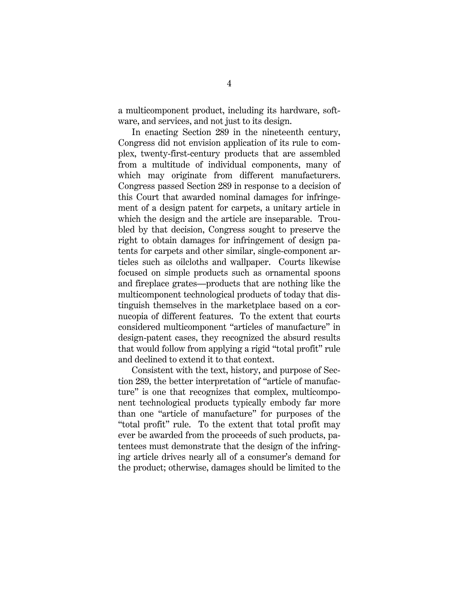a multicomponent product, including its hardware, software, and services, and not just to its design.

In enacting Section 289 in the nineteenth century, Congress did not envision application of its rule to complex, twenty-first-century products that are assembled from a multitude of individual components, many of which may originate from different manufacturers. Congress passed Section 289 in response to a decision of this Court that awarded nominal damages for infringement of a design patent for carpets, a unitary article in which the design and the article are inseparable. Troubled by that decision, Congress sought to preserve the right to obtain damages for infringement of design patents for carpets and other similar, single-component articles such as oilcloths and wallpaper. Courts likewise focused on simple products such as ornamental spoons and fireplace grates—products that are nothing like the multicomponent technological products of today that distinguish themselves in the marketplace based on a cornucopia of different features. To the extent that courts considered multicomponent "articles of manufacture" in design-patent cases, they recognized the absurd results that would follow from applying a rigid "total profit" rule and declined to extend it to that context.

Consistent with the text, history, and purpose of Section 289, the better interpretation of "article of manufacture" is one that recognizes that complex, multicomponent technological products typically embody far more than one "article of manufacture" for purposes of the "total profit" rule. To the extent that total profit may ever be awarded from the proceeds of such products, patentees must demonstrate that the design of the infringing article drives nearly all of a consumer's demand for the product; otherwise, damages should be limited to the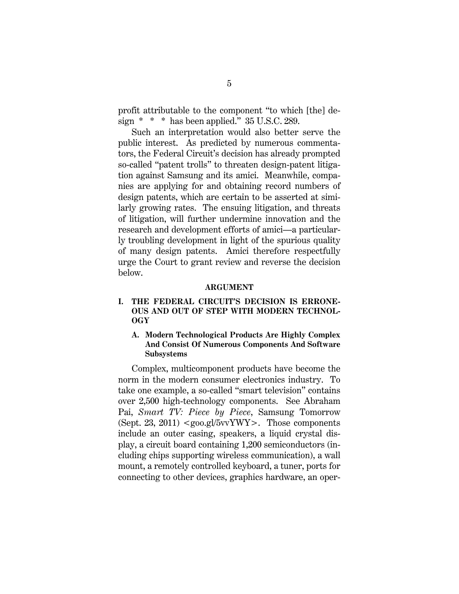profit attributable to the component "to which [the] design  $* * *$  has been applied." 35 U.S.C. 289.

Such an interpretation would also better serve the public interest. As predicted by numerous commentators, the Federal Circuit's decision has already prompted so-called "patent trolls" to threaten design-patent litigation against Samsung and its amici. Meanwhile, companies are applying for and obtaining record numbers of design patents, which are certain to be asserted at similarly growing rates. The ensuing litigation, and threats of litigation, will further undermine innovation and the research and development efforts of amici—a particularly troubling development in light of the spurious quality of many design patents. Amici therefore respectfully urge the Court to grant review and reverse the decision below.

#### **ARGUMENT**

## **I. THE FEDERAL CIRCUIT'S DECISION IS ERRONE-OUS AND OUT OF STEP WITH MODERN TECHNOL-OGY**

**A. Modern Technological Products Are Highly Complex And Consist Of Numerous Components And Software Subsystems** 

Complex, multicomponent products have become the norm in the modern consumer electronics industry. To take one example, a so-called "smart television" contains over 2,500 high-technology components. See Abraham Pai, *Smart TV: Piece by Piece*, Samsung Tomorrow (Sept. 23, 2011)  $\langle \text{good.gl}/5 \text{vv} \text{YW} \rangle$ . Those components include an outer casing, speakers, a liquid crystal display, a circuit board containing 1,200 semiconductors (including chips supporting wireless communication), a wall mount, a remotely controlled keyboard, a tuner, ports for connecting to other devices, graphics hardware, an oper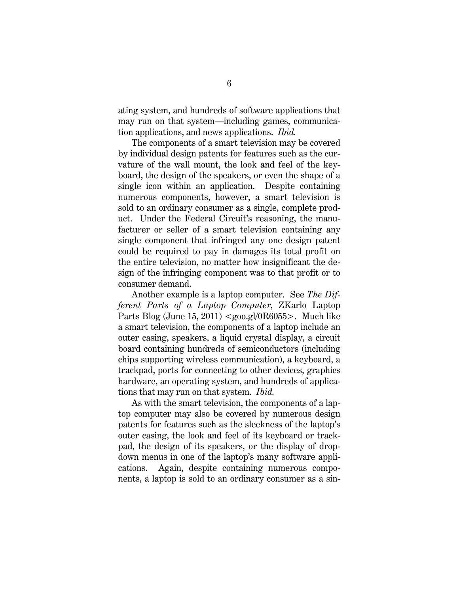ating system, and hundreds of software applications that may run on that system—including games, communication applications, and news applications. *Ibid.* 

The components of a smart television may be covered by individual design patents for features such as the curvature of the wall mount, the look and feel of the keyboard, the design of the speakers, or even the shape of a single icon within an application. Despite containing numerous components, however, a smart television is sold to an ordinary consumer as a single, complete product. Under the Federal Circuit's reasoning, the manufacturer or seller of a smart television containing any single component that infringed any one design patent could be required to pay in damages its total profit on the entire television, no matter how insignificant the design of the infringing component was to that profit or to consumer demand.

Another example is a laptop computer. See *The Different Parts of a Laptop Computer*, ZKarlo Laptop Parts Blog (June 15, 2011)  $\langle \text{geo.gl}/0R6055 \rangle$ . Much like a smart television, the components of a laptop include an outer casing, speakers, a liquid crystal display, a circuit board containing hundreds of semiconductors (including chips supporting wireless communication), a keyboard, a trackpad, ports for connecting to other devices, graphics hardware, an operating system, and hundreds of applications that may run on that system. *Ibid.* 

As with the smart television, the components of a laptop computer may also be covered by numerous design patents for features such as the sleekness of the laptop's outer casing, the look and feel of its keyboard or trackpad, the design of its speakers, or the display of dropdown menus in one of the laptop's many software applications. Again, despite containing numerous components, a laptop is sold to an ordinary consumer as a sin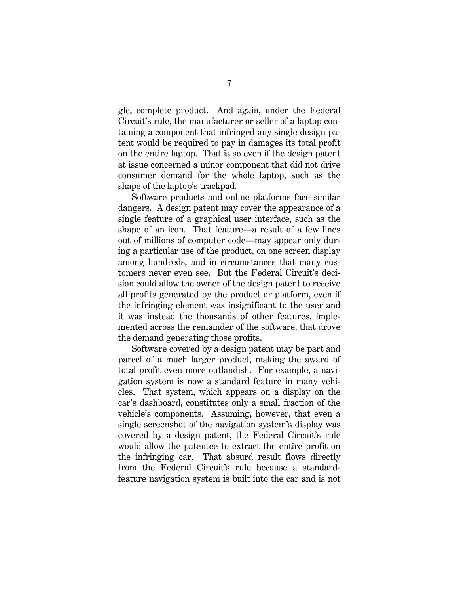gle, complete product. And again, under the Federal Circuit's rule, the manufacturer or seller of a laptop containing a component that infringed any single design patent would be required to pay in damages its total profit on the entire laptop. That is so even if the design patent at issue concerned a minor component that did not drive consumer demand for the whole laptop, such as the shape of the laptop's trackpad.

Software products and online platforms face similar dangers. A design patent may cover the appearance of a single feature of a graphical user interface, such as the shape of an icon. That feature—a result of a few lines out of millions of computer code—may appear only during a particular use of the product, on one screen display among hundreds, and in circumstances that many customers never even see. But the Federal Circuit's decision could allow the owner of the design patent to receive all profits generated by the product or platform, even if the infringing element was insignificant to the user and it was instead the thousands of other features, implemented across the remainder of the software, that drove the demand generating those profits.

Software covered by a design patent may be part and parcel of a much larger product, making the award of total profit even more outlandish. For example, a navigation system is now a standard feature in many vehicles. That system, which appears on a display on the car's dashboard, constitutes only a small fraction of the vehicle's components. Assuming, however, that even a single screenshot of the navigation system's display was covered by a design patent, the Federal Circuit's rule would allow the patentee to extract the entire profit on the infringing car. That absurd result flows directly from the Federal Circuit's rule because a standardfeature navigation system is built into the car and is not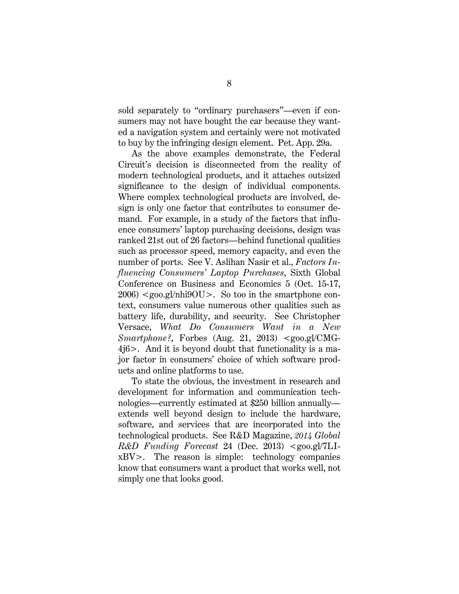sold separately to "ordinary purchasers"—even if consumers may not have bought the car because they wanted a navigation system and certainly were not motivated to buy by the infringing design element. Pet. App. 29a.

As the above examples demonstrate, the Federal Circuit's decision is disconnected from the reality of modern technological products, and it attaches outsized significance to the design of individual components. Where complex technological products are involved, design is only one factor that contributes to consumer demand. For example, in a study of the factors that influence consumers' laptop purchasing decisions, design was ranked 21st out of 26 factors—behind functional qualities such as processor speed, memory capacity, and even the number of ports. See V. Aslihan Nasir et al., *Factors Influencing Consumers' Laptop Purchases*, Sixth Global Conference on Business and Economics 5 (Oct. 15-17,  $2006$ )  $\langle \text{geo.gl/nhi9OU}\rangle$ . So too in the smartphone context, consumers value numerous other qualities such as battery life, durability, and security. See Christopher Versace, *What Do Consumers Want in a New Smartphone?*, Forbes (Aug. 21, 2013) <goo.gl/CMG-4j6>. And it is beyond doubt that functionality is a major factor in consumers' choice of which software products and online platforms to use.

To state the obvious, the investment in research and development for information and communication technologies—currently estimated at \$250 billion annually extends well beyond design to include the hardware, software, and services that are incorporated into the technological products. See R&D Magazine, *2014 Global R&D Funding Forecast* 24 (Dec. 2013) <goo.gl/7LIxBV>. The reason is simple: technology companies know that consumers want a product that works well, not simply one that looks good.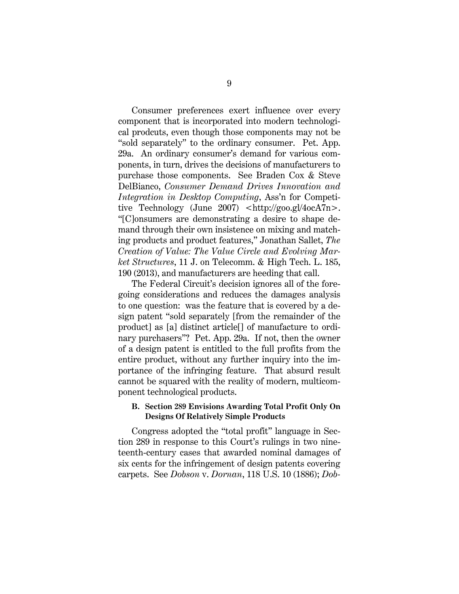Consumer preferences exert influence over every component that is incorporated into modern technological prodcuts, even though those components may not be "sold separately" to the ordinary consumer. Pet. App. 29a. An ordinary consumer's demand for various components, in turn, drives the decisions of manufacturers to purchase those components.See Braden Cox & Steve DelBianco, *Consumer Demand Drives Innovation and Integration in Desktop Computing*, Ass'n for Competitive Technology (June 2007) <http://goo.gl/4ocA7n>. "[C]onsumers are demonstrating a desire to shape demand through their own insistence on mixing and matching products and product features," Jonathan Sallet, *The Creation of Value: The Value Circle and Evolving Market Structures*, 11 J. on Telecomm. & High Tech. L. 185, 190 (2013), and manufacturers are heeding that call.

The Federal Circuit's decision ignores all of the foregoing considerations and reduces the damages analysis to one question: was the feature that is covered by a design patent "sold separately [from the remainder of the product] as [a] distinct article[] of manufacture to ordinary purchasers"? Pet. App. 29a. If not, then the owner of a design patent is entitled to the full profits from the entire product, without any further inquiry into the importance of the infringing feature. That absurd result cannot be squared with the reality of modern, multicomponent technological products.

### **B. Section 289 Envisions Awarding Total Profit Only On Designs Of Relatively Simple Products**

Congress adopted the "total profit" language in Section 289 in response to this Court's rulings in two nineteenth-century cases that awarded nominal damages of six cents for the infringement of design patents covering carpets. See *Dobson* v. *Dornan*, 118 U.S. 10 (1886); *Dob-*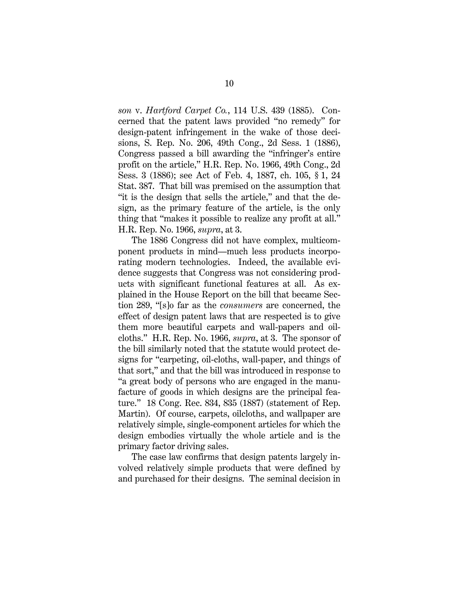*son* v. *Hartford Carpet Co.*, 114 U.S. 439 (1885). Concerned that the patent laws provided "no remedy" for design-patent infringement in the wake of those decisions, S. Rep. No. 206, 49th Cong., 2d Sess. 1 (1886), Congress passed a bill awarding the "infringer's entire profit on the article," H.R. Rep. No. 1966, 49th Cong., 2d Sess. 3 (1886); see Act of Feb. 4, 1887, ch. 105, § 1, 24 Stat. 387. That bill was premised on the assumption that "it is the design that sells the article," and that the design, as the primary feature of the article, is the only thing that "makes it possible to realize any profit at all." H.R. Rep. No. 1966, *supra*, at 3.

The 1886 Congress did not have complex, multicomponent products in mind—much less products incorporating modern technologies. Indeed, the available evidence suggests that Congress was not considering products with significant functional features at all. As explained in the House Report on the bill that became Section 289, "[s]o far as the *consumers* are concerned, the effect of design patent laws that are respected is to give them more beautiful carpets and wall-papers and oilcloths." H.R. Rep. No. 1966, *supra*, at 3.The sponsor of the bill similarly noted that the statute would protect designs for "carpeting, oil-cloths, wall-paper, and things of that sort," and that the bill was introduced in response to "a great body of persons who are engaged in the manufacture of goods in which designs are the principal feature." 18 Cong. Rec. 834, 835 (1887) (statement of Rep. Martin). Of course, carpets, oilcloths, and wallpaper are relatively simple, single-component articles for which the design embodies virtually the whole article and is the primary factor driving sales.

The case law confirms that design patents largely involved relatively simple products that were defined by and purchased for their designs. The seminal decision in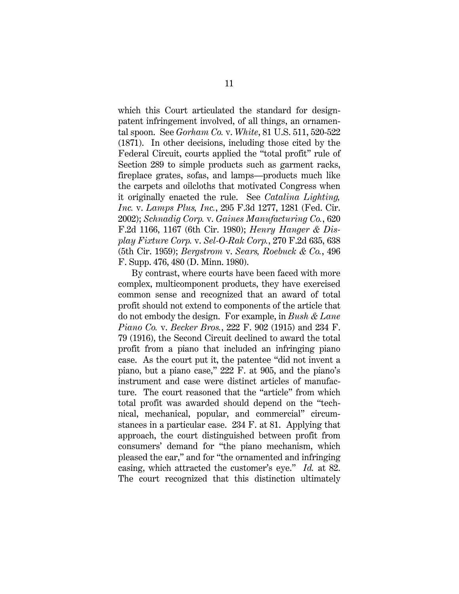which this Court articulated the standard for designpatent infringement involved, of all things, an ornamental spoon. See *Gorham Co.* v. *White*, 81 U.S. 511, 520-522 (1871). In other decisions, including those cited by the Federal Circuit, courts applied the "total profit" rule of Section 289 to simple products such as garment racks, fireplace grates, sofas, and lamps—products much like the carpets and oilcloths that motivated Congress when it originally enacted the rule.See *Catalina Lighting, Inc.* v. *Lamps Plus, Inc.*, 295 F.3d 1277, 1281 (Fed. Cir. 2002); *Schnadig Corp.* v. *Gaines Manufacturing Co.*, 620 F.2d 1166, 1167 (6th Cir. 1980); *Henry Hanger & Display Fixture Corp.* v. *Sel-O-Rak Corp.*, 270 F.2d 635, 638 (5th Cir. 1959); *Bergstrom* v. *Sears, Roebuck & Co.*, 496 F. Supp. 476, 480 (D. Minn. 1980).

By contrast, where courts have been faced with more complex, multicomponent products, they have exercised common sense and recognized that an award of total profit should not extend to components of the article that do not embody the design. For example, in *Bush & Lane Piano Co.* v. *Becker Bros.*, 222 F. 902 (1915) and 234 F. 79 (1916), the Second Circuit declined to award the total profit from a piano that included an infringing piano case. As the court put it, the patentee "did not invent a piano, but a piano case," 222 F. at 905, and the piano's instrument and case were distinct articles of manufacture. The court reasoned that the "article" from which total profit was awarded should depend on the "technical, mechanical, popular, and commercial" circumstances in a particular case. 234 F. at 81. Applying that approach, the court distinguished between profit from consumers' demand for "the piano mechanism, which pleased the ear," and for "the ornamented and infringing casing, which attracted the customer's eye." *Id.* at 82. The court recognized that this distinction ultimately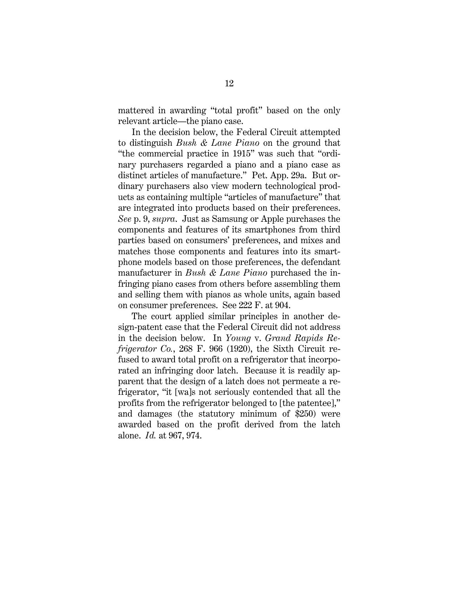mattered in awarding "total profit" based on the only relevant article—the piano case.

In the decision below, the Federal Circuit attempted to distinguish *Bush & Lane Piano* on the ground that "the commercial practice in 1915" was such that "ordinary purchasers regarded a piano and a piano case as distinct articles of manufacture." Pet. App. 29a. But ordinary purchasers also view modern technological products as containing multiple "articles of manufacture" that are integrated into products based on their preferences. *See* p. 9, *supra*. Just as Samsung or Apple purchases the components and features of its smartphones from third parties based on consumers' preferences, and mixes and matches those components and features into its smartphone models based on those preferences, the defendant manufacturer in *Bush & Lane Piano* purchased the infringing piano cases from others before assembling them and selling them with pianos as whole units, again based on consumer preferences. See 222 F. at 904.

The court applied similar principles in another design-patent case that the Federal Circuit did not address in the decision below. In *Young* v. *Grand Rapids Refrigerator Co.*, 268 F. 966 (1920), the Sixth Circuit refused to award total profit on a refrigerator that incorporated an infringing door latch. Because it is readily apparent that the design of a latch does not permeate a refrigerator, "it [wa]s not seriously contended that all the profits from the refrigerator belonged to [the patentee]," and damages (the statutory minimum of \$250) were awarded based on the profit derived from the latch alone. *Id.* at 967, 974.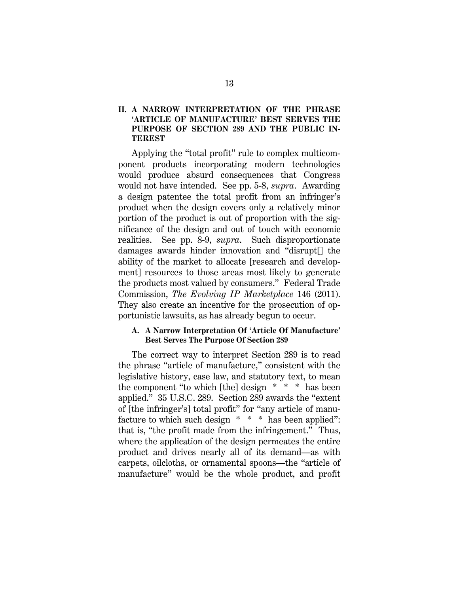# **II. A NARROW INTERPRETATION OF THE PHRASE 'ARTICLE OF MANUFACTURE' BEST SERVES THE PURPOSE OF SECTION 289 AND THE PUBLIC IN-TEREST**

Applying the "total profit" rule to complex multicomponent products incorporating modern technologies would produce absurd consequences that Congress would not have intended. See pp. 5-8, *supra*. Awarding a design patentee the total profit from an infringer's product when the design covers only a relatively minor portion of the product is out of proportion with the significance of the design and out of touch with economic realities. See pp. 8-9, *supra*. Such disproportionate damages awards hinder innovation and "disrupt[] the ability of the market to allocate [research and development] resources to those areas most likely to generate the products most valued by consumers." Federal Trade Commission, *The Evolving IP Marketplace* 146 (2011). They also create an incentive for the prosecution of opportunistic lawsuits, as has already begun to occur.

## **A. A Narrow Interpretation Of 'Article Of Manufacture' Best Serves The Purpose Of Section 289**

The correct way to interpret Section 289 is to read the phrase "article of manufacture," consistent with the legislative history, case law, and statutory text, to mean the component "to which [the] design \* \* \* has been applied." 35 U.S.C. 289. Section 289 awards the "extent of [the infringer's] total profit" for "any article of manufacture to which such design \* \* \* has been applied": that is, "the profit made from the infringement." Thus, where the application of the design permeates the entire product and drives nearly all of its demand—as with carpets, oilcloths, or ornamental spoons—the "article of manufacture" would be the whole product, and profit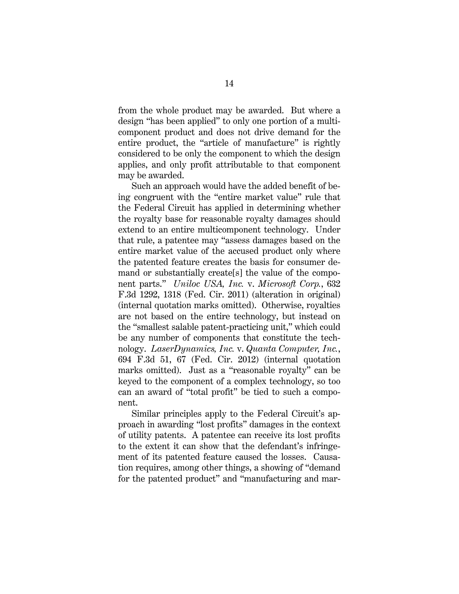from the whole product may be awarded. But where a design "has been applied" to only one portion of a multicomponent product and does not drive demand for the entire product, the "article of manufacture" is rightly considered to be only the component to which the design applies, and only profit attributable to that component may be awarded.

Such an approach would have the added benefit of being congruent with the "entire market value" rule that the Federal Circuit has applied in determining whether the royalty base for reasonable royalty damages should extend to an entire multicomponent technology. Under that rule, a patentee may "assess damages based on the entire market value of the accused product only where the patented feature creates the basis for consumer demand or substantially create[s] the value of the component parts." *Uniloc USA, Inc.* v. *Microsoft Corp.*, 632 F.3d 1292, 1318 (Fed. Cir. 2011) (alteration in original) (internal quotation marks omitted). Otherwise, royalties are not based on the entire technology, but instead on the "smallest salable patent-practicing unit," which could be any number of components that constitute the technology. *LaserDynamics, Inc.* v. *Quanta Computer, Inc.*, 694 F.3d 51, 67 (Fed. Cir. 2012) (internal quotation marks omitted). Just as a "reasonable royalty" can be keyed to the component of a complex technology, so too can an award of "total profit" be tied to such a component.

Similar principles apply to the Federal Circuit's approach in awarding "lost profits" damages in the context of utility patents. A patentee can receive its lost profits to the extent it can show that the defendant's infringement of its patented feature caused the losses. Causation requires, among other things, a showing of "demand for the patented product" and "manufacturing and mar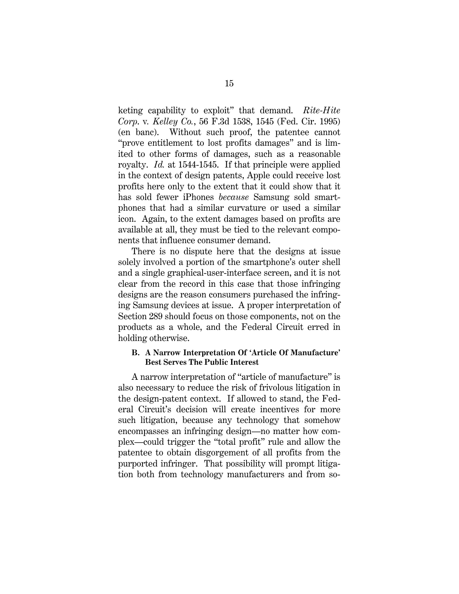keting capability to exploit" that demand. *Rite-Hite Corp*. v*. Kelley Co.*, 56 F.3d 1538, 1545 (Fed. Cir. 1995) (en banc). Without such proof, the patentee cannot "prove entitlement to lost profits damages" and is limited to other forms of damages, such as a reasonable royalty. *Id.* at 1544-1545. If that principle were applied in the context of design patents, Apple could receive lost profits here only to the extent that it could show that it has sold fewer iPhones *because* Samsung sold smartphones that had a similar curvature or used a similar icon. Again, to the extent damages based on profits are available at all, they must be tied to the relevant components that influence consumer demand.

There is no dispute here that the designs at issue solely involved a portion of the smartphone's outer shell and a single graphical-user-interface screen, and it is not clear from the record in this case that those infringing designs are the reason consumers purchased the infringing Samsung devices at issue. A proper interpretation of Section 289 should focus on those components, not on the products as a whole, and the Federal Circuit erred in holding otherwise.

### **B. A Narrow Interpretation Of 'Article Of Manufacture' Best Serves The Public Interest**

A narrow interpretation of "article of manufacture" is also necessary to reduce the risk of frivolous litigation in the design-patent context. If allowed to stand, the Federal Circuit's decision will create incentives for more such litigation, because any technology that somehow encompasses an infringing design—no matter how complex—could trigger the "total profit" rule and allow the patentee to obtain disgorgement of all profits from the purported infringer. That possibility will prompt litigation both from technology manufacturers and from so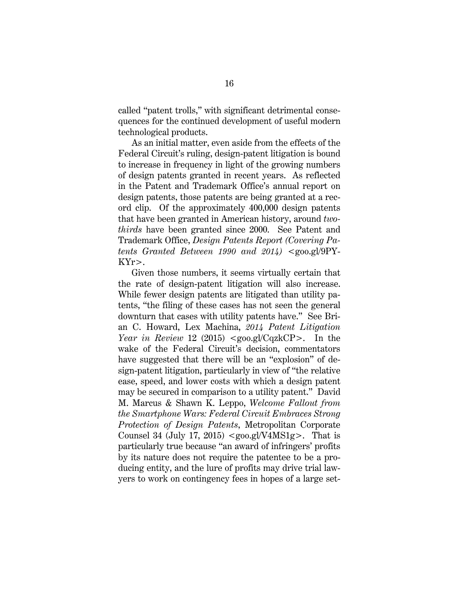called "patent trolls," with significant detrimental consequences for the continued development of useful modern technological products.

As an initial matter, even aside from the effects of the Federal Circuit's ruling, design-patent litigation is bound to increase in frequency in light of the growing numbers of design patents granted in recent years. As reflected in the Patent and Trademark Office's annual report on design patents, those patents are being granted at a record clip. Of the approximately 400,000 design patents that have been granted in American history, around *twothirds* have been granted since 2000. See Patent and Trademark Office, *Design Patents Report (Covering Patents Granted Between 1990 and 2014)* <goo.gl/9PY-KYr>.

Given those numbers, it seems virtually certain that the rate of design-patent litigation will also increase. While fewer design patents are litigated than utility patents, "the filing of these cases has not seen the general downturn that cases with utility patents have." See Brian C. Howard, Lex Machina, *2014 Patent Litigation Year in Review* 12 (2015) <goo.gl/CqzkCP>. In the wake of the Federal Circuit's decision, commentators have suggested that there will be an "explosion" of design-patent litigation, particularly in view of "the relative ease, speed, and lower costs with which a design patent may be secured in comparison to a utility patent." David M. Marcus & Shawn K. Leppo, *Welcome Fallout from the Smartphone Wars: Federal Circuit Embraces Strong Protection of Design Patents*, Metropolitan Corporate Counsel 34 (July 17, 2015)  $\langle \text{good.gl/V4MS1g>}.$  That is particularly true because "an award of infringers' profits by its nature does not require the patentee to be a producing entity, and the lure of profits may drive trial lawyers to work on contingency fees in hopes of a large set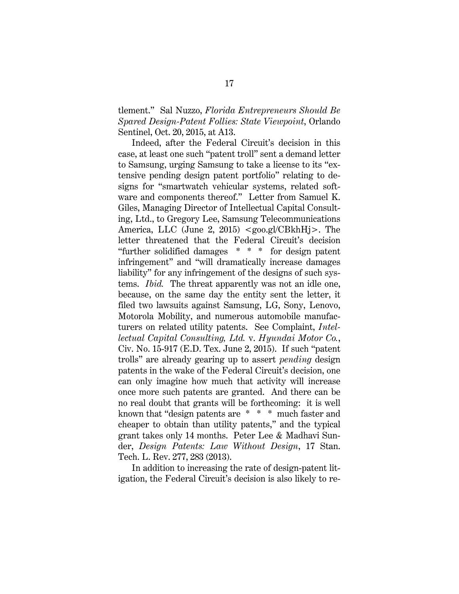tlement." Sal Nuzzo, *Florida Entrepreneurs Should Be Spared Design-Patent Follies: State Viewpoint*, Orlando Sentinel, Oct. 20, 2015, at A13.

Indeed, after the Federal Circuit's decision in this case, at least one such "patent troll" sent a demand letter to Samsung, urging Samsung to take a license to its "extensive pending design patent portfolio" relating to designs for "smartwatch vehicular systems, related software and components thereof." Letter from Samuel K. Giles, Managing Director of Intellectual Capital Consulting, Ltd., to Gregory Lee, Samsung Telecommunications America, LLC (June 2, 2015) <goo.gl/CBkhHj>. The letter threatened that the Federal Circuit's decision "further solidified damages \* \* \* for design patent infringement" and "will dramatically increase damages liability" for any infringement of the designs of such systems. *Ibid.* The threat apparently was not an idle one, because, on the same day the entity sent the letter, it filed two lawsuits against Samsung, LG, Sony, Lenovo, Motorola Mobility, and numerous automobile manufacturers on related utility patents. See Complaint, *Intellectual Capital Consulting, Ltd.* v. *Hyundai Motor Co.*, Civ. No. 15-917 (E.D. Tex. June 2, 2015). If such "patent trolls" are already gearing up to assert *pending* design patents in the wake of the Federal Circuit's decision, one can only imagine how much that activity will increase once more such patents are granted. And there can be no real doubt that grants will be forthcoming: it is well known that "design patents are \* \* \* much faster and cheaper to obtain than utility patents," and the typical grant takes only 14 months. Peter Lee & Madhavi Sunder, *Design Patents: Law Without Design*, 17 Stan. Tech. L. Rev. 277, 283 (2013).

In addition to increasing the rate of design-patent litigation, the Federal Circuit's decision is also likely to re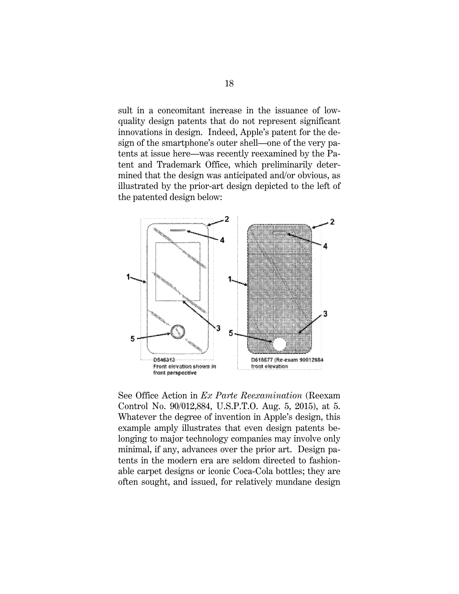sult in a concomitant increase in the issuance of lowquality design patents that do not represent significant innovations in design. Indeed, Apple's patent for the design of the smartphone's outer shell—one of the very patents at issue here—was recently reexamined by the Patent and Trademark Office, which preliminarily determined that the design was anticipated and/or obvious, as illustrated by the prior-art design depicted to the left of the patented design below:



See Office Action in *Ex Parte Reexamination* (Reexam Control No. 90/012,884, U.S.P.T.O. Aug. 5, 2015), at 5. Whatever the degree of invention in Apple's design, this example amply illustrates that even design patents belonging to major technology companies may involve only minimal, if any, advances over the prior art. Design patents in the modern era are seldom directed to fashionable carpet designs or iconic Coca-Cola bottles; they are often sought, and issued, for relatively mundane design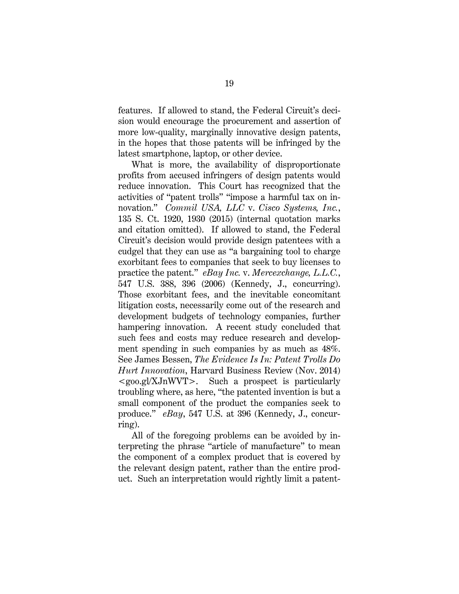features. If allowed to stand, the Federal Circuit's decision would encourage the procurement and assertion of more low-quality, marginally innovative design patents, in the hopes that those patents will be infringed by the latest smartphone, laptop, or other device.

What is more, the availability of disproportionate profits from accused infringers of design patents would reduce innovation. This Court has recognized that the activities of "patent trolls" "impose a harmful tax on innovation." *Commil USA, LLC* v. *Cisco Systems, Inc.*, 135 S. Ct. 1920, 1930 (2015) (internal quotation marks and citation omitted). If allowed to stand, the Federal Circuit's decision would provide design patentees with a cudgel that they can use as "a bargaining tool to charge exorbitant fees to companies that seek to buy licenses to practice the patent." *eBay Inc.* v. *Mercexchange, L.L.C.*, 547 U.S. 388, 396 (2006) (Kennedy, J., concurring). Those exorbitant fees, and the inevitable concomitant litigation costs, necessarily come out of the research and development budgets of technology companies, further hampering innovation. A recent study concluded that such fees and costs may reduce research and development spending in such companies by as much as 48%. See James Bessen, *The Evidence Is In: Patent Trolls Do Hurt Innovation*, Harvard Business Review (Nov. 2014) <goo.gl/XJnWVT>. Such a prospect is particularly troubling where, as here, "the patented invention is but a small component of the product the companies seek to produce." *eBay*, 547 U.S. at 396 (Kennedy, J., concurring).

All of the foregoing problems can be avoided by interpreting the phrase "article of manufacture" to mean the component of a complex product that is covered by the relevant design patent, rather than the entire product. Such an interpretation would rightly limit a patent